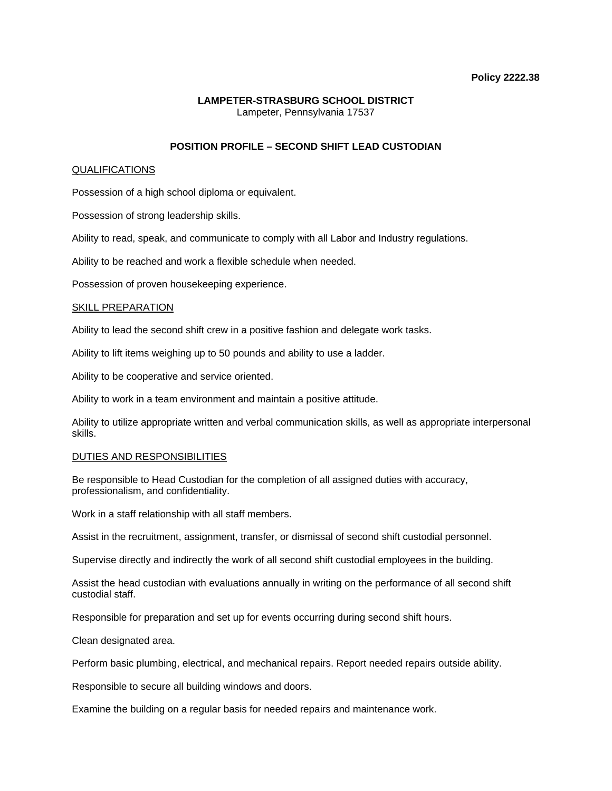### **Policy 2222.38**

# **LAMPETER-STRASBURG SCHOOL DISTRICT**  Lampeter, Pennsylvania 17537

# **POSITION PROFILE – SECOND SHIFT LEAD CUSTODIAN**

## QUALIFICATIONS

Possession of a high school diploma or equivalent.

Possession of strong leadership skills.

Ability to read, speak, and communicate to comply with all Labor and Industry regulations.

Ability to be reached and work a flexible schedule when needed.

Possession of proven housekeeping experience.

## SKILL PREPARATION

Ability to lead the second shift crew in a positive fashion and delegate work tasks.

Ability to lift items weighing up to 50 pounds and ability to use a ladder.

Ability to be cooperative and service oriented.

Ability to work in a team environment and maintain a positive attitude.

Ability to utilize appropriate written and verbal communication skills, as well as appropriate interpersonal skills.

### DUTIES AND RESPONSIBILITIES

Be responsible to Head Custodian for the completion of all assigned duties with accuracy, professionalism, and confidentiality.

Work in a staff relationship with all staff members.

Assist in the recruitment, assignment, transfer, or dismissal of second shift custodial personnel.

Supervise directly and indirectly the work of all second shift custodial employees in the building.

Assist the head custodian with evaluations annually in writing on the performance of all second shift custodial staff.

Responsible for preparation and set up for events occurring during second shift hours.

Clean designated area.

Perform basic plumbing, electrical, and mechanical repairs. Report needed repairs outside ability.

Responsible to secure all building windows and doors.

Examine the building on a regular basis for needed repairs and maintenance work.